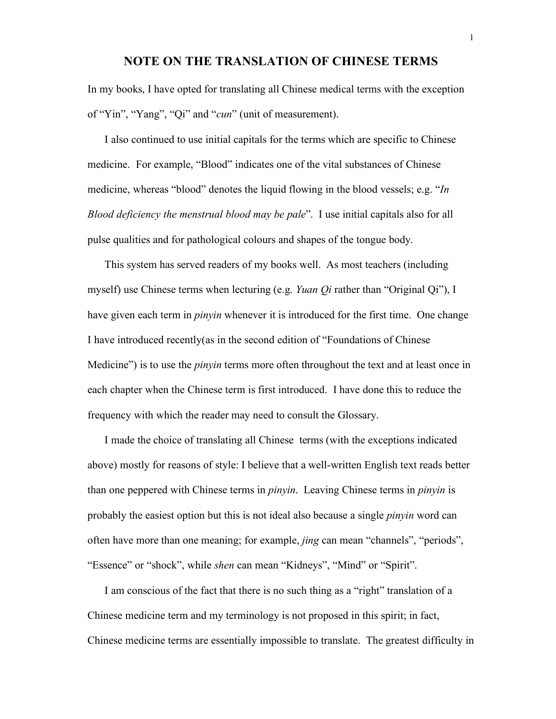## **NOTE ON THE TRANSLATION OF CHINESE TERMS**

In my books, I have opted for translating all Chinese medical terms with the exception of "Yin", "Yang", "Qi" and "*cun*" (unit of measurement).

I also continued to use initial capitals for the terms which are specific to Chinese medicine. For example, "Blood" indicates one of the vital substances of Chinese medicine, whereas "blood" denotes the liquid flowing in the blood vessels; e.g. "*In Blood deficiency the menstrual blood may be pale*". I use initial capitals also for all pulse qualities and for pathological colours and shapes of the tongue body.

This system has served readers of my books well. As most teachers (including myself) use Chinese terms when lecturing (e.g. *Yuan Qi* rather than "Original Qi"), I have given each term in *pinyin* whenever it is introduced for the first time. One change I have introduced recently(as in the second edition of "Foundations of Chinese Medicine") is to use the *pinyin* terms more often throughout the text and at least once in each chapter when the Chinese term is first introduced. I have done this to reduce the frequency with which the reader may need to consult the Glossary.

I made the choice of translating all Chinese terms (with the exceptions indicated above) mostly for reasons of style: I believe that a well-written English text reads better than one peppered with Chinese terms in *pinyin*. Leaving Chinese terms in *pinyin* is probably the easiest option but this is not ideal also because a single *pinyin* word can often have more than one meaning; for example, *jing* can mean "channels", "periods", "Essence" or "shock", while *shen* can mean "Kidneys", "Mind" or "Spirit".

I am conscious of the fact that there is no such thing as a "right" translation of a Chinese medicine term and my terminology is not proposed in this spirit; in fact, Chinese medicine terms are essentially impossible to translate. The greatest difficulty in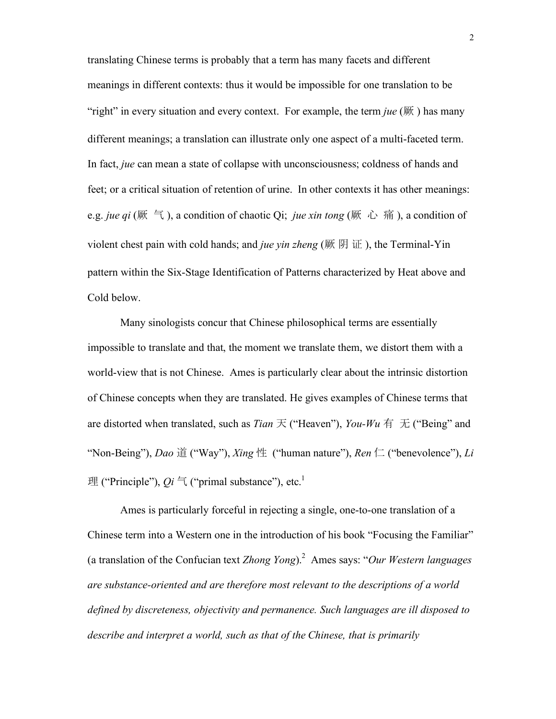translating Chinese terms is probably that a term has many facets and different meanings in different contexts: thus it would be impossible for one translation to be "right" in every situation and every context. For example, the term *jue* (厥 ) has many different meanings; a translation can illustrate only one aspect of a multi-faceted term. In fact, *jue* can mean a state of collapse with unconsciousness; coldness of hands and feet; or a critical situation of retention of urine. In other contexts it has other meanings: e.g. *jue qi* (厥 气 ), a condition of chaotic Qi; *jue xin tong* (厥 心 痛 ), a condition of violent chest pain with cold hands; and *jue yin zheng* (厥 阴 证 ), the Terminal-Yin pattern within the Six-Stage Identification of Patterns characterized by Heat above and Cold below.

Many sinologists concur that Chinese philosophical terms are essentially impossible to translate and that, the moment we translate them, we distort them with a world-view that is not Chinese. Ames is particularly clear about the intrinsic distortion of Chinese concepts when they are translated. He gives examples of Chinese terms that are distorted when translated, such as *Tian* 天 ("Heaven"), *You-Wu* 有 无 ("Being" and "Non-Being"), *Dao* 道 ("Way"), *Xing* 性 ("human nature"), *Ren* 仁 ("benevolence"), *Li* 理 ("Principle"),  $Q_i \stackrel{d}{\le}$  ("primal substance"), etc.<sup>1</sup>

Ames is particularly forceful in rejecting a single, one-to-one translation of a Chinese term into a Western one in the introduction of his book "Focusing the Familiar" (a translation of the Confucian text *Zhong Yong*). <sup>2</sup> Ames says: "*Our Western languages are substance-oriented and are therefore most relevant to the descriptions of a world defined by discreteness, objectivity and permanence. Such languages are ill disposed to describe and interpret a world, such as that of the Chinese, that is primarily*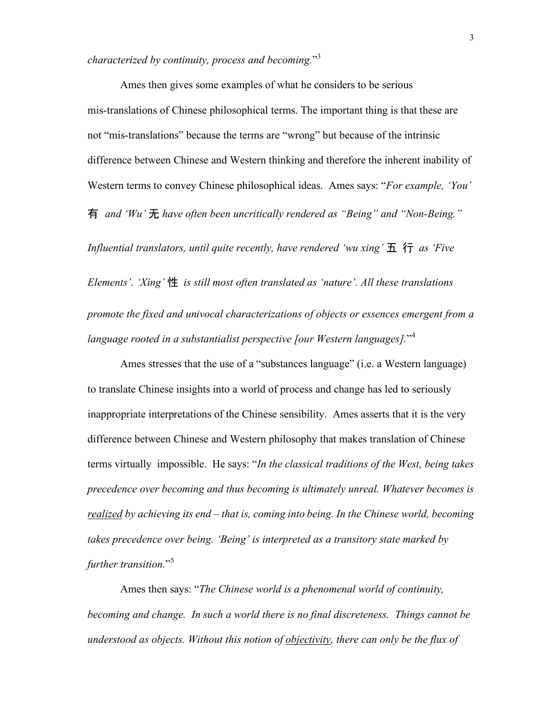*characterized by continuity, process and becoming.*" 3

Ames then gives some examples of what he considers to be serious mis-translations of Chinese philosophical terms. The important thing is that these are not "mis-translations" because the terms are "wrong" but because of the intrinsic difference between Chinese and Western thinking and therefore the inherent inability of Western terms to convey Chinese philosophical ideas. Ames says: "*For example, 'You'* 有 *and 'Wu'* 无 *have often been uncritically rendered as "Being" and "Non-Being." Influential translators, until quite recently, have rendered 'wu xing'* 五 行 *as 'Five Elements'. 'Xing'* 性 *is still most often translated as 'nature'. All these translations promote the fixed and univocal characterizations of objects or essences emergent from a language rooted in a substantialist perspective [our Western languages].*" 4

Ames stresses that the use of a "substances language" (i.e. a Western language) to translate Chinese insights into a world of process and change has led to seriously inappropriate interpretations of the Chinese sensibility. Ames asserts that it is the very difference between Chinese and Western philosophy that makes translation of Chinese terms virtually impossible. He says: "*In the classical traditions of the West, being takes precedence over becoming and thus becoming is ultimately unreal. Whatever becomes is realized by achieving its end – that is, coming into being. In the Chinese world, becoming takes precedence over being. 'Being' is interpreted as a transitory state marked by further transition.*"<sup>5</sup>

Ames then says: "*The Chinese world is a phenomenal world of continuity, becoming and change. In such a world there is no final discreteness. Things cannot be understood as objects. Without this notion of objectivity, there can only be the flux of*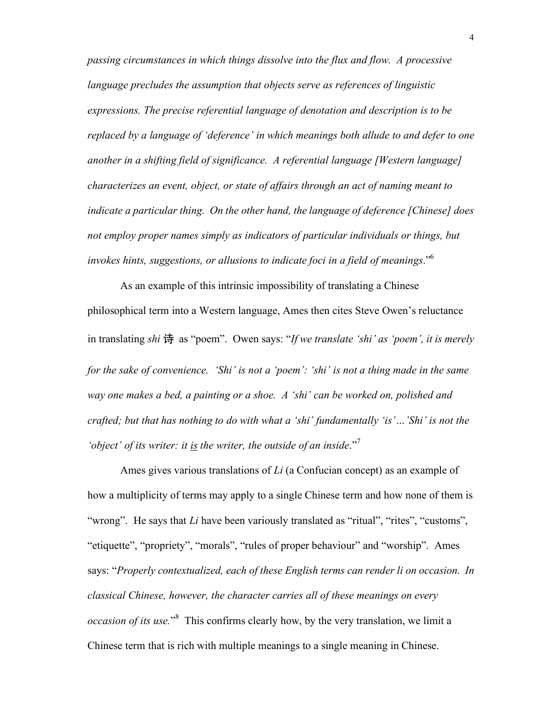*passing circumstances in which things dissolve into the flux and flow. A processive language precludes the assumption that objects serve as references of linguistic expressions. The precise referential language of denotation and description is to be replaced by a language of 'deference' in which meanings both allude to and defer to one another in a shifting field of significance. A referential language [Western language] characterizes an event, object, or state of affairs through an act of naming meant to indicate a particular thing. On the other hand, the language of deference [Chinese] does not employ proper names simply as indicators of particular individuals or things, but invokes hints, suggestions, or allusions to indicate foci in a field of meanings*." 6

As an example of this intrinsic impossibility of translating a Chinese philosophical term into a Western language, Ames then cites Steve Owen's reluctance in translating *shi* 诗 as "poem". Owen says: "*If we translate 'shi' as 'poem', it is merely for the sake of convenience. 'Shi' is not a 'poem': 'shi' is not a thing made in the same way one makes a bed, a painting or a shoe. A 'shi' can be worked on, polished and crafted; but that has nothing to do with what a 'shi' fundamentally 'is'…'Shi' is not the 'object' of its writer: it is the writer, the outside of an inside*." 7

Ames gives various translations of *Li* (a Confucian concept) as an example of how a multiplicity of terms may apply to a single Chinese term and how none of them is "wrong". He says that *Li* have been variously translated as "ritual", "rites", "customs", "etiquette", "propriety", "morals", "rules of proper behaviour" and "worship". Ames says: "*Properly contextualized, each of these English terms can render li on occasion. In classical Chinese, however, the character carries all of these meanings on every occasion of its use.*" <sup>8</sup> This confirms clearly how, by the very translation, we limit a Chinese term that is rich with multiple meanings to a single meaning in Chinese.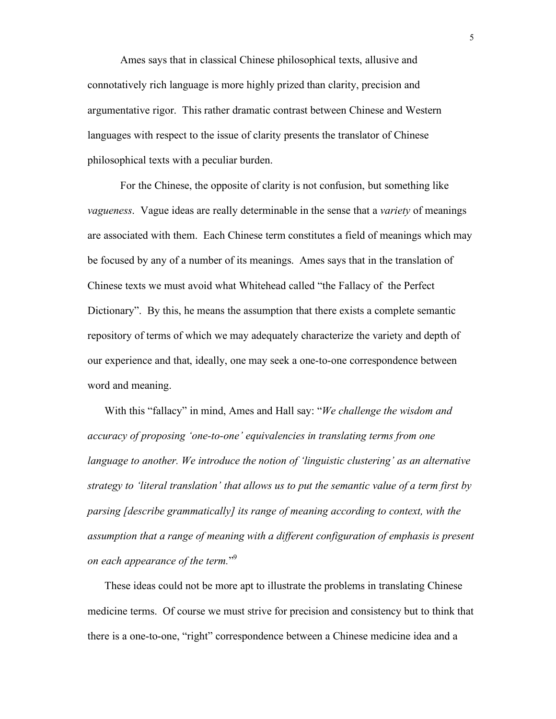Ames says that in classical Chinese philosophical texts, allusive and connotatively rich language is more highly prized than clarity, precision and argumentative rigor. This rather dramatic contrast between Chinese and Western languages with respect to the issue of clarity presents the translator of Chinese philosophical texts with a peculiar burden.

For the Chinese, the opposite of clarity is not confusion, but something like *vagueness*. Vague ideas are really determinable in the sense that a *variety* of meanings are associated with them. Each Chinese term constitutes a field of meanings which may be focused by any of a number of its meanings. Ames says that in the translation of Chinese texts we must avoid what Whitehead called "the Fallacy of the Perfect Dictionary". By this, he means the assumption that there exists a complete semantic repository of terms of which we may adequately characterize the variety and depth of our experience and that, ideally, one may seek a one-to-one correspondence between word and meaning.

With this "fallacy" in mind, Ames and Hall say: "*We challenge the wisdom and accuracy of proposing 'one-to-one' equivalencies in translating terms from one language to another. We introduce the notion of 'linguistic clustering' as an alternative strategy to 'literal translation' that allows us to put the semantic value of a term first by parsing [describe grammatically] its range of meaning according to context, with the assumption that a range of meaning with a different configuration of emphasis is present on each appearance of the term.*" 9

These ideas could not be more apt to illustrate the problems in translating Chinese medicine terms. Of course we must strive for precision and consistency but to think that there is a one-to-one, "right" correspondence between a Chinese medicine idea and a

5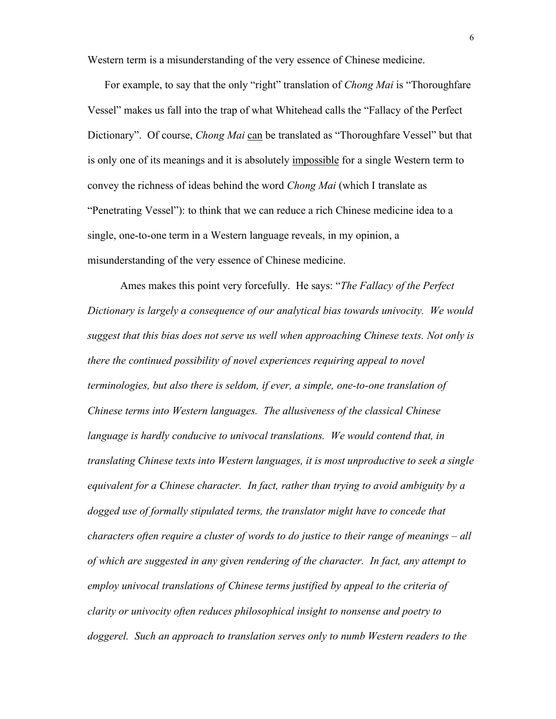Western term is a misunderstanding of the very essence of Chinese medicine.

For example, to say that the only "right" translation of *Chong Mai* is "Thoroughfare Vessel" makes us fall into the trap of what Whitehead calls the "Fallacy of the Perfect Dictionary". Of course, *Chong Mai* can be translated as "Thoroughfare Vessel" but that is only one of its meanings and it is absolutely impossible for a single Western term to convey the richness of ideas behind the word *Chong Mai* (which I translate as "Penetrating Vessel"): to think that we can reduce a rich Chinese medicine idea to a single, one-to-one term in a Western language reveals, in my opinion, a misunderstanding of the very essence of Chinese medicine.

Ames makes this point very forcefully. He says: "*The Fallacy of the Perfect Dictionary is largely a consequence of our analytical bias towards univocity. We would suggest that this bias does not serve us well when approaching Chinese texts. Not only is there the continued possibility of novel experiences requiring appeal to novel terminologies, but also there is seldom, if ever, a simple, one-to-one translation of Chinese terms into Western languages. The allusiveness of the classical Chinese language is hardly conducive to univocal translations. We would contend that, in translating Chinese texts into Western languages, it is most unproductive to seek a single equivalent for a Chinese character. In fact, rather than trying to avoid ambiguity by a dogged use of formally stipulated terms, the translator might have to concede that characters often require a cluster of words to do justice to their range of meanings – all of which are suggested in any given rendering of the character. In fact, any attempt to employ univocal translations of Chinese terms justified by appeal to the criteria of clarity or univocity often reduces philosophical insight to nonsense and poetry to doggerel. Such an approach to translation serves only to numb Western readers to the*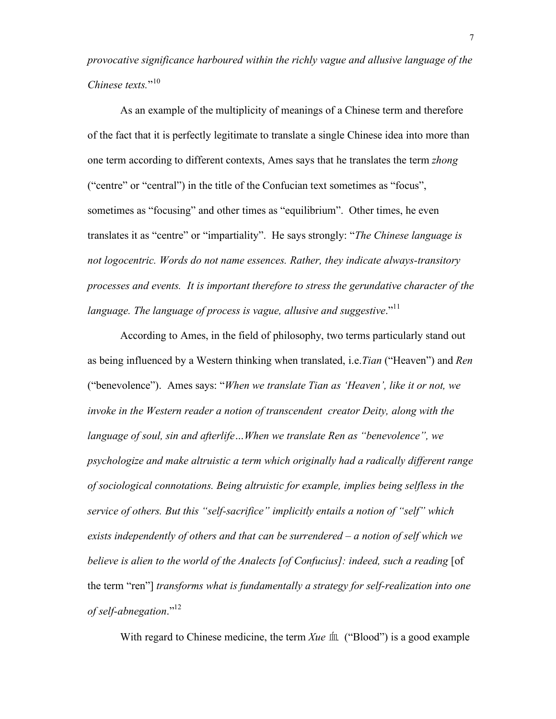*provocative significance harboured within the richly vague and allusive language of the Chinese texts.*"<sup>10</sup>

As an example of the multiplicity of meanings of a Chinese term and therefore of the fact that it is perfectly legitimate to translate a single Chinese idea into more than one term according to different contexts, Ames says that he translates the term *zhong* ("centre" or "central") in the title of the Confucian text sometimes as "focus", sometimes as "focusing" and other times as "equilibrium". Other times, he even translates it as "centre" or "impartiality". He says strongly: "*The Chinese language is not logocentric. Words do not name essences. Rather, they indicate always-transitory processes and events. It is important therefore to stress the gerundative character of the language. The language of process is vague, allusive and suggestive*." 11

According to Ames, in the field of philosophy, two terms particularly stand out as being influenced by a Western thinking when translated, i.e.*Tian* ("Heaven") and *Ren* ("benevolence"). Ames says: "*When we translate Tian as 'Heaven', like it or not, we invoke in the Western reader a notion of transcendent creator Deity, along with the language of soul, sin and afterlife…When we translate Ren as "benevolence", we psychologize and make altruistic a term which originally had a radically different range of sociological connotations. Being altruistic for example, implies being selfless in the service of others. But this "self-sacrifice" implicitly entails a notion of "self" which exists independently of others and that can be surrendered – a notion of self which we believe is alien to the world of the Analects [of Confucius]: indeed, such a reading* [of the term "ren"] *transforms what is fundamentally a strategy for self-realization into one of self-abnegation*." 12

With regard to Chinese medicine, the term *Xue* 血 ("Blood") is a good example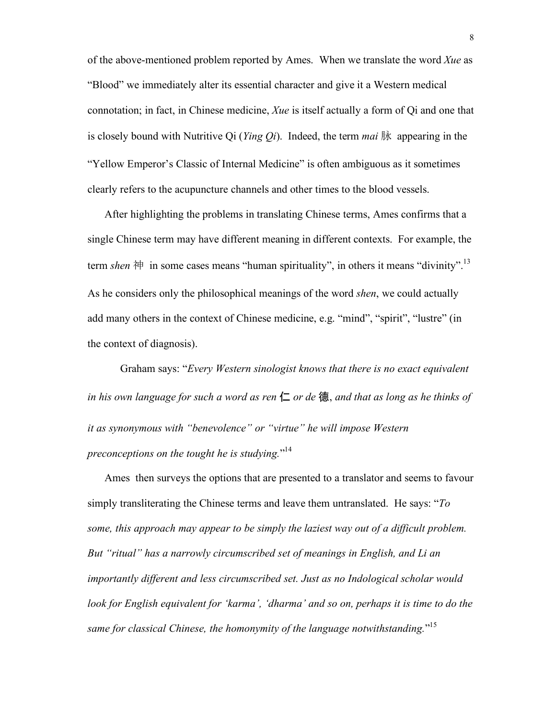of the above-mentioned problem reported by Ames. When we translate the word *Xue* as "Blood" we immediately alter its essential character and give it a Western medical connotation; in fact, in Chinese medicine, *Xue* is itself actually a form of Qi and one that is closely bound with Nutritive Qi (*Ying Qi*). Indeed, the term *mai* 脉 appearing in the "Yellow Emperor's Classic of Internal Medicine" is often ambiguous as it sometimes clearly refers to the acupuncture channels and other times to the blood vessels.

After highlighting the problems in translating Chinese terms, Ames confirms that a single Chinese term may have different meaning in different contexts. For example, the term *shen* 神 in some cases means "human spirituality", in others it means "divinity".<sup>13</sup> As he considers only the philosophical meanings of the word *shen*, we could actually add many others in the context of Chinese medicine, e.g. "mind", "spirit", "lustre" (in the context of diagnosis).

Graham says: "*Every Western sinologist knows that there is no exact equivalent in his own language for such a word as ren* 仁 *or de* 德, *and that as long as he thinks of it as synonymous with "benevolence" or "virtue" he will impose Western preconceptions on the tought he is studying.*" 14

Ames then surveys the options that are presented to a translator and seems to favour simply transliterating the Chinese terms and leave them untranslated. He says: "*To some, this approach may appear to be simply the laziest way out of a difficult problem. But "ritual" has a narrowly circumscribed set of meanings in English, and Li an importantly different and less circumscribed set. Just as no Indological scholar would look for English equivalent for 'karma', 'dharma' and so on, perhaps it is time to do the same for classical Chinese, the homonymity of the language notwithstanding.*" 15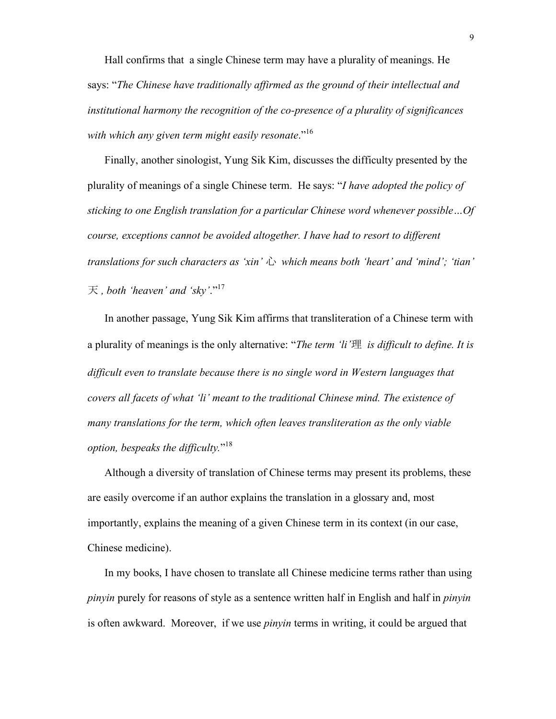Hall confirms that a single Chinese term may have a plurality of meanings. He says: "*The Chinese have traditionally affirmed as the ground of their intellectual and institutional harmony the recognition of the co-presence of a plurality of significances with which any given term might easily resonate*." 16

Finally, another sinologist, Yung Sik Kim, discusses the difficulty presented by the plurality of meanings of a single Chinese term. He says: "*I have adopted the policy of sticking to one English translation for a particular Chinese word whenever possible…Of course, exceptions cannot be avoided altogether. I have had to resort to different translations for such characters as 'xin'* 心 *which means both 'heart' and 'mind'; 'tian'* 天 *, both 'heaven' and 'sky'*." 17

In another passage, Yung Sik Kim affirms that transliteration of a Chinese term with a plurality of meanings is the only alternative: "*The term 'li'*理 *is difficult to define. It is difficult even to translate because there is no single word in Western languages that covers all facets of what 'li' meant to the traditional Chinese mind. The existence of many translations for the term, which often leaves transliteration as the only viable option, bespeaks the difficulty.*" 18

Although a diversity of translation of Chinese terms may present its problems, these are easily overcome if an author explains the translation in a glossary and, most importantly, explains the meaning of a given Chinese term in its context (in our case, Chinese medicine).

In my books, I have chosen to translate all Chinese medicine terms rather than using *pinyin* purely for reasons of style as a sentence written half in English and half in *pinyin* is often awkward. Moreover, if we use *pinyin* terms in writing, it could be argued that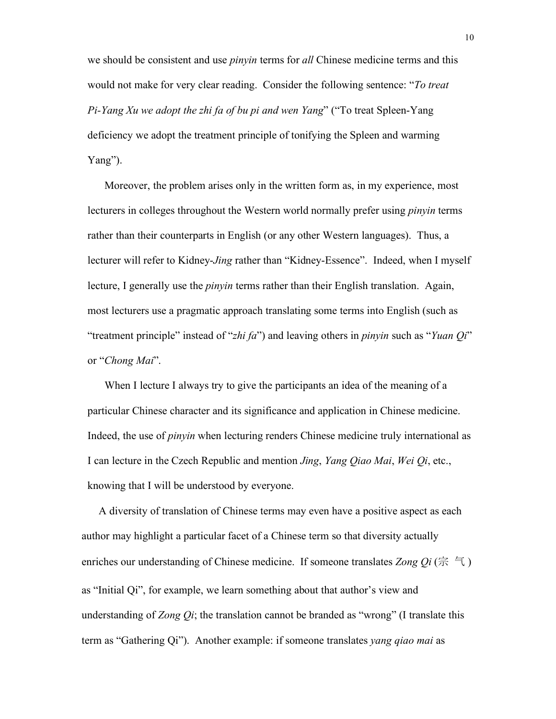we should be consistent and use *pinyin* terms for *all* Chinese medicine terms and this would not make for very clear reading. Consider the following sentence: "*To treat Pi-Yang Xu we adopt the zhi fa of bu pi and wen Yang*" ("To treat Spleen-Yang deficiency we adopt the treatment principle of tonifying the Spleen and warming Yang").

Moreover, the problem arises only in the written form as, in my experience, most lecturers in colleges throughout the Western world normally prefer using *pinyin* terms rather than their counterparts in English (or any other Western languages). Thus, a lecturer will refer to Kidney-*Jing* rather than "Kidney-Essence". Indeed, when I myself lecture, I generally use the *pinyin* terms rather than their English translation. Again, most lecturers use a pragmatic approach translating some terms into English (such as "treatment principle" instead of "*zhi fa*") and leaving others in *pinyin* such as "*Yuan Qi*" or "*Chong Mai*".

When I lecture I always try to give the participants an idea of the meaning of a particular Chinese character and its significance and application in Chinese medicine. Indeed, the use of *pinyin* when lecturing renders Chinese medicine truly international as I can lecture in the Czech Republic and mention *Jing*, *Yang Qiao Mai*, *Wei Qi*, etc., knowing that I will be understood by everyone.

A diversity of translation of Chinese terms may even have a positive aspect as each author may highlight a particular facet of a Chinese term so that diversity actually enriches our understanding of Chinese medicine. If someone translates *Zong Qi* (宗 气) as "Initial Qi", for example, we learn something about that author's view and understanding of *Zong Qi*; the translation cannot be branded as "wrong" (I translate this term as "Gathering Qi"). Another example: if someone translates *yang qiao mai* as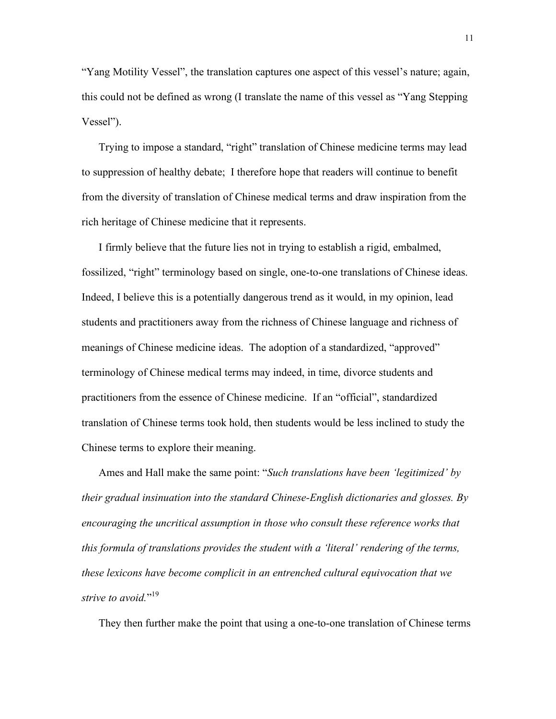"Yang Motility Vessel", the translation captures one aspect of this vessel's nature; again, this could not be defined as wrong (I translate the name of this vessel as "Yang Stepping Vessel").

Trying to impose a standard, "right" translation of Chinese medicine terms may lead to suppression of healthy debate; I therefore hope that readers will continue to benefit from the diversity of translation of Chinese medical terms and draw inspiration from the rich heritage of Chinese medicine that it represents.

I firmly believe that the future lies not in trying to establish a rigid, embalmed, fossilized, "right" terminology based on single, one-to-one translations of Chinese ideas. Indeed, I believe this is a potentially dangerous trend as it would, in my opinion, lead students and practitioners away from the richness of Chinese language and richness of meanings of Chinese medicine ideas. The adoption of a standardized, "approved" terminology of Chinese medical terms may indeed, in time, divorce students and practitioners from the essence of Chinese medicine. If an "official", standardized translation of Chinese terms took hold, then students would be less inclined to study the Chinese terms to explore their meaning.

Ames and Hall make the same point: "*Such translations have been 'legitimized' by their gradual insinuation into the standard Chinese-English dictionaries and glosses. By encouraging the uncritical assumption in those who consult these reference works that this formula of translations provides the student with a 'literal' rendering of the terms, these lexicons have become complicit in an entrenched cultural equivocation that we strive to avoid.*" 19

They then further make the point that using a one-to-one translation of Chinese terms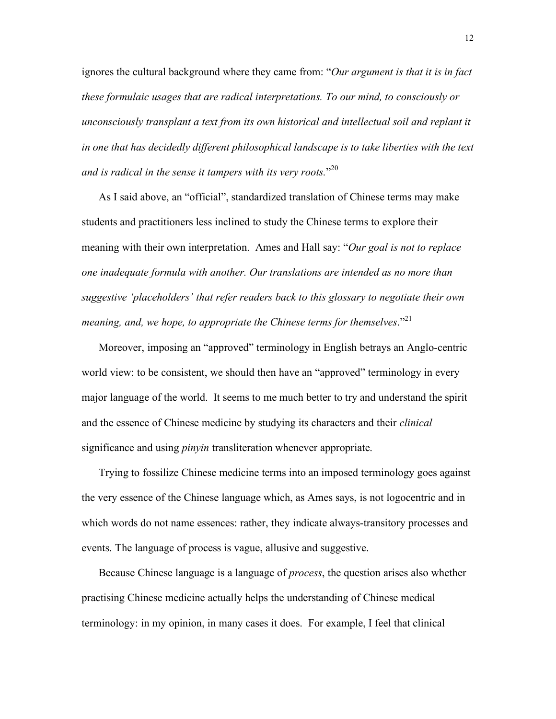ignores the cultural background where they came from: "*Our argument is that it is in fact these formulaic usages that are radical interpretations. To our mind, to consciously or unconsciously transplant a text from its own historical and intellectual soil and replant it in one that has decidedly different philosophical landscape is to take liberties with the text and is radical in the sense it tampers with its very roots.*" 20

As I said above, an "official", standardized translation of Chinese terms may make students and practitioners less inclined to study the Chinese terms to explore their meaning with their own interpretation. Ames and Hall say: "*Our goal is not to replace one inadequate formula with another. Our translations are intended as no more than suggestive 'placeholders' that refer readers back to this glossary to negotiate their own meaning, and, we hope, to appropriate the Chinese terms for themselves*." 21

Moreover, imposing an "approved" terminology in English betrays an Anglo-centric world view: to be consistent, we should then have an "approved" terminology in every major language of the world. It seems to me much better to try and understand the spirit and the essence of Chinese medicine by studying its characters and their *clinical* significance and using *pinyin* transliteration whenever appropriate.

Trying to fossilize Chinese medicine terms into an imposed terminology goes against the very essence of the Chinese language which, as Ames says, is not logocentric and in which words do not name essences: rather, they indicate always-transitory processes and events. The language of process is vague, allusive and suggestive.

Because Chinese language is a language of *process*, the question arises also whether practising Chinese medicine actually helps the understanding of Chinese medical terminology: in my opinion, in many cases it does. For example, I feel that clinical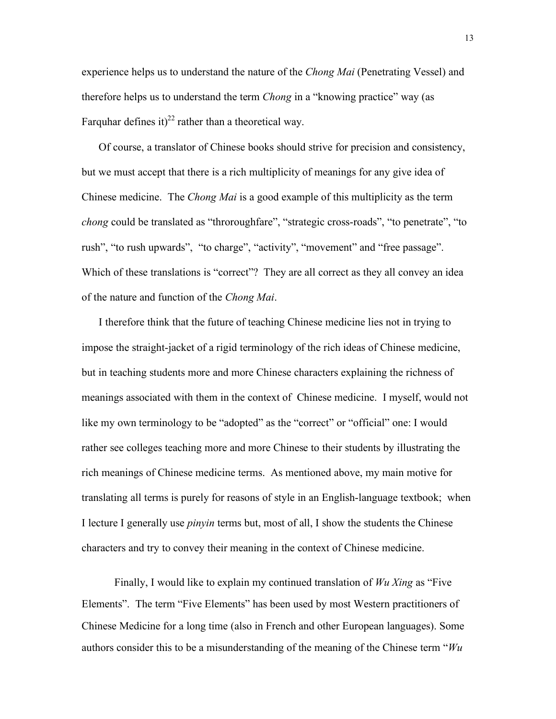experience helps us to understand the nature of the *Chong Mai* (Penetrating Vessel) and therefore helps us to understand the term *Chong* in a "knowing practice" way (as Farquhar defines it)<sup>22</sup> rather than a theoretical way.

Of course, a translator of Chinese books should strive for precision and consistency, but we must accept that there is a rich multiplicity of meanings for any give idea of Chinese medicine. The *Chong Mai* is a good example of this multiplicity as the term *chong* could be translated as "throroughfare", "strategic cross-roads", "to penetrate", "to rush", "to rush upwards", "to charge", "activity", "movement" and "free passage". Which of these translations is "correct"? They are all correct as they all convey an idea of the nature and function of the *Chong Mai*.

I therefore think that the future of teaching Chinese medicine lies not in trying to impose the straight-jacket of a rigid terminology of the rich ideas of Chinese medicine, but in teaching students more and more Chinese characters explaining the richness of meanings associated with them in the context of Chinese medicine. I myself, would not like my own terminology to be "adopted" as the "correct" or "official" one: I would rather see colleges teaching more and more Chinese to their students by illustrating the rich meanings of Chinese medicine terms. As mentioned above, my main motive for translating all terms is purely for reasons of style in an English-language textbook; when I lecture I generally use *pinyin* terms but, most of all, I show the students the Chinese characters and try to convey their meaning in the context of Chinese medicine.

Finally, I would like to explain my continued translation of *Wu Xing* as "Five Elements". The term "Five Elements" has been used by most Western practitioners of Chinese Medicine for a long time (also in French and other European languages). Some authors consider this to be a misunderstanding of the meaning of the Chinese term "*Wu*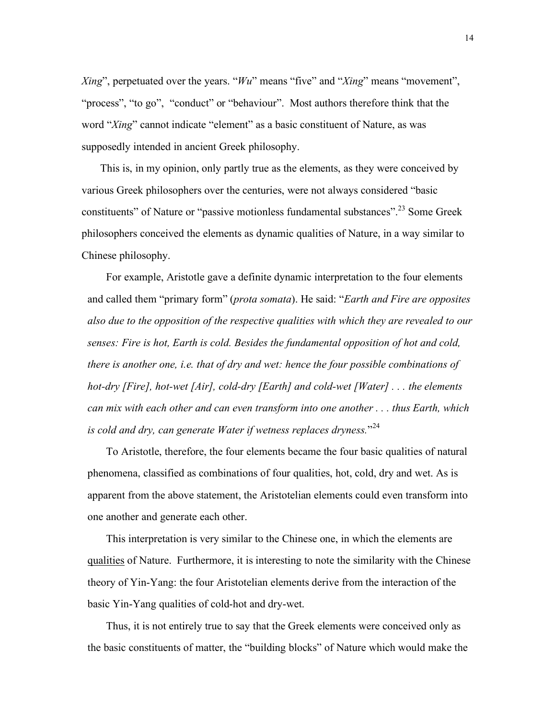*Xing*", perpetuated over the years. "*Wu*" means "five" and "*Xing*" means "movement", "process", "to go", "conduct" or "behaviour". Most authors therefore think that the word "*Xing*" cannot indicate "element" as a basic constituent of Nature, as was supposedly intended in ancient Greek philosophy.

This is, in my opinion, only partly true as the elements, as they were conceived by various Greek philosophers over the centuries, were not always considered "basic constituents" of Nature or "passive motionless fundamental substances".<sup>23</sup> Some Greek philosophers conceived the elements as dynamic qualities of Nature, in a way similar to Chinese philosophy.

For example, Aristotle gave a definite dynamic interpretation to the four elements and called them "primary form" (*prota somata*). He said: "*Earth and Fire are opposites also due to the opposition of the respective qualities with which they are revealed to our senses: Fire is hot, Earth is cold. Besides the fundamental opposition of hot and cold, there is another one, i.e. that of dry and wet: hence the four possible combinations of hot-dry [Fire], hot-wet [Air], cold-dry [Earth] and cold-wet [Water] . . . the elements can mix with each other and can even transform into one another . . . thus Earth, which is cold and dry, can generate Water if wetness replaces dryness.*"<sup>24</sup>

To Aristotle, therefore, the four elements became the four basic qualities of natural phenomena, classified as combinations of four qualities, hot, cold, dry and wet. As is apparent from the above statement, the Aristotelian elements could even transform into one another and generate each other.

This interpretation is very similar to the Chinese one, in which the elements are qualities of Nature. Furthermore, it is interesting to note the similarity with the Chinese theory of Yin-Yang: the four Aristotelian elements derive from the interaction of the basic Yin-Yang qualities of cold-hot and dry-wet.

Thus, it is not entirely true to say that the Greek elements were conceived only as the basic constituents of matter, the "building blocks" of Nature which would make the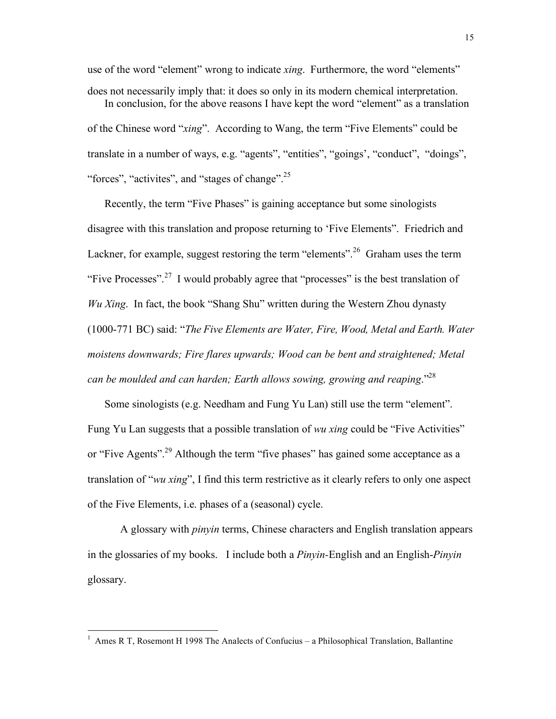use of the word "element" wrong to indicate *xing*. Furthermore, the word "elements" does not necessarily imply that: it does so only in its modern chemical interpretation. In conclusion, for the above reasons I have kept the word "element" as a translation of the Chinese word "*xing*". According to Wang, the term "Five Elements" could be translate in a number of ways, e.g. "agents", "entities", "goings', "conduct", "doings", "forces", "activites", and "stages of change".<sup>25</sup>

Recently, the term "Five Phases" is gaining acceptance but some sinologists disagree with this translation and propose returning to 'Five Elements". Friedrich and Lackner, for example, suggest restoring the term "elements".<sup>26</sup> Graham uses the term "Five Processes".<sup>27</sup> I would probably agree that "processes" is the best translation of *Wu Xing*. In fact, the book "Shang Shu" written during the Western Zhou dynasty (1000-771 BC) said: "*The Five Elements are Water, Fire, Wood, Metal and Earth. Water moistens downwards; Fire flares upwards; Wood can be bent and straightened; Metal can be moulded and can harden; Earth allows sowing, growing and reaping*." 28

Some sinologists (e.g. Needham and Fung Yu Lan) still use the term "element". Fung Yu Lan suggests that a possible translation of *wu xing* could be "Five Activities" or "Five Agents".<sup>29</sup> Although the term "five phases" has gained some acceptance as a translation of "*wu xing*", I find this term restrictive as it clearly refers to only one aspect of the Five Elements, i.e. phases of a (seasonal) cycle.

A glossary with *pinyin* terms, Chinese characters and English translation appears in the glossaries of my books. I include both a *Pinyin-*English and an English-*Pinyin* glossary.

<sup>&</sup>lt;sup>1</sup> Ames R T, Rosemont H 1998 The Analects of Confucius – a Philosophical Translation, Ballantine